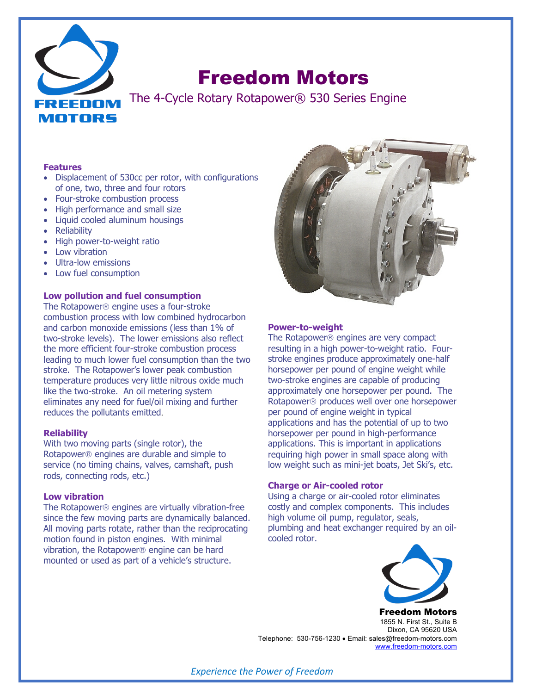

# Freedom Motors

The 4-Cycle Rotary Rotapower® 530 Series Engine

#### **Features**

- Displacement of 530cc per rotor, with configurations of one, two, three and four rotors
- Four-stroke combustion process
- High performance and small size
- Liquid cooled aluminum housings
- **Reliability**
- High power-to-weight ratio
- Low vibration
- Ultra-low emissions
- Low fuel consumption

## **Low pollution and fuel consumption**

The Rotapower<sup>®</sup> engine uses a four-stroke combustion process with low combined hydrocarbon and carbon monoxide emissions (less than 1% of two-stroke levels). The lower emissions also reflect the more efficient four-stroke combustion process leading to much lower fuel consumption than the two stroke. The Rotapower's lower peak combustion temperature produces very little nitrous oxide much like the two-stroke. An oil metering system eliminates any need for fuel/oil mixing and further reduces the pollutants emitted.

#### **Reliability**

With two moving parts (single rotor), the Rotapowerâ engines are durable and simple to service (no timing chains, valves, camshaft, push rods, connecting rods, etc.)

#### **Low vibration**

The Rotapower<sup>®</sup> engines are virtually vibration-free since the few moving parts are dynamically balanced. All moving parts rotate, rather than the reciprocating motion found in piston engines. With minimal vibration, the Rotapower<sup>®</sup> engine can be hard mounted or used as part of a vehicle's structure.



## **Power-to-weight**

The Rotapower<sup>®</sup> engines are very compact resulting in a high power-to-weight ratio. Fourstroke engines produce approximately one-half horsepower per pound of engine weight while two-stroke engines are capable of producing approximately one horsepower per pound. The Rotapowerâ produces well over one horsepower per pound of engine weight in typical applications and has the potential of up to two horsepower per pound in high-performance applications. This is important in applications requiring high power in small space along with low weight such as mini-jet boats, Jet Ski's, etc.

#### **Charge or Air-cooled rotor**

Using a charge or air-cooled rotor eliminates costly and complex components. This includes high volume oil pump, regulator, seals, plumbing and heat exchanger required by an oilcooled rotor.



Freedom Motors 1855 N. First St., Suite B Dixon, CA 95620 USA Telephone: 530-756-1230 • Email: sales@freedom-motors.com www.freedom-motors.com